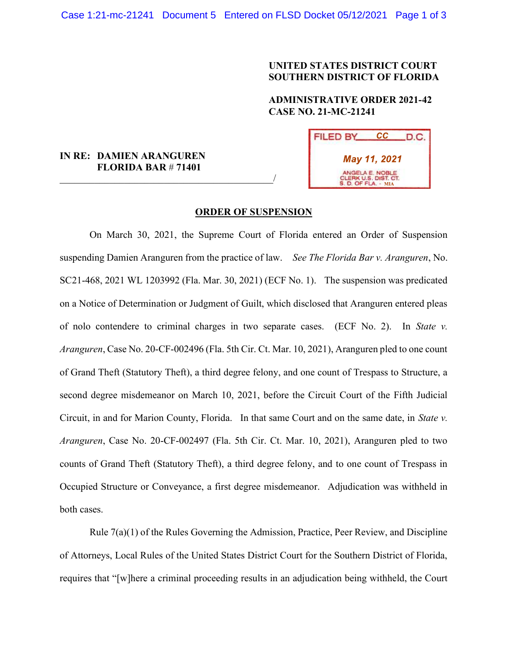# UNITED STATES DISTRICT COURT SOUTHERN DISTRICT OF FLORIDA

# ADMINISTRATIVE ORDER 2021-42 CASE NO. 21-MC-21241

| IN RE:DAMIEN ARANGUREN |  |
|------------------------|--|
| FLORIDA BAR $\# 71401$ |  |

 $\overline{\phantom{a}}$ 

| <b>FILED BY</b>                                                | СC | D.C. |  |  |
|----------------------------------------------------------------|----|------|--|--|
| May 11, 2021                                                   |    |      |  |  |
| ANGELA E. NOBLE<br>CLERK U.S. DIST. CT.<br>S. D. OF FLA. - MIA |    |      |  |  |

### ORDER OF SUSPENSION

On March 30, 2021, the Supreme Court of Florida entered an Order of Suspension suspending Damien Aranguren from the practice of law. See The Florida Bar v. Aranguren, No. SC21-468, 2021 WL 1203992 (Fla. Mar. 30, 2021) (ECF No. 1). The suspension was predicated on a Notice of Determination or Judgment of Guilt, which disclosed that Aranguren entered pleas of nolo contendere to criminal charges in two separate cases. (ECF No. 2). In State v. Aranguren, Case No. 20-CF-002496 (Fla. 5th Cir. Ct. Mar. 10, 2021), Aranguren pled to one count of Grand Theft (Statutory Theft), a third degree felony, and one count of Trespass to Structure, a second degree misdemeanor on March 10, 2021, before the Circuit Court of the Fifth Judicial Circuit, in and for Marion County, Florida. In that same Court and on the same date, in State v. Aranguren, Case No. 20-CF-002497 (Fla. 5th Cir. Ct. Mar. 10, 2021), Aranguren pled to two counts of Grand Theft (Statutory Theft), a third degree felony, and to one count of Trespass in Occupied Structure or Conveyance, a first degree misdemeanor. Adjudication was withheld in both cases.

Rule 7(a)(1) of the Rules Governing the Admission, Practice, Peer Review, and Discipline of Attorneys, Local Rules of the United States District Court for the Southern District of Florida, requires that "[w]here a criminal proceeding results in an adjudication being withheld, the Court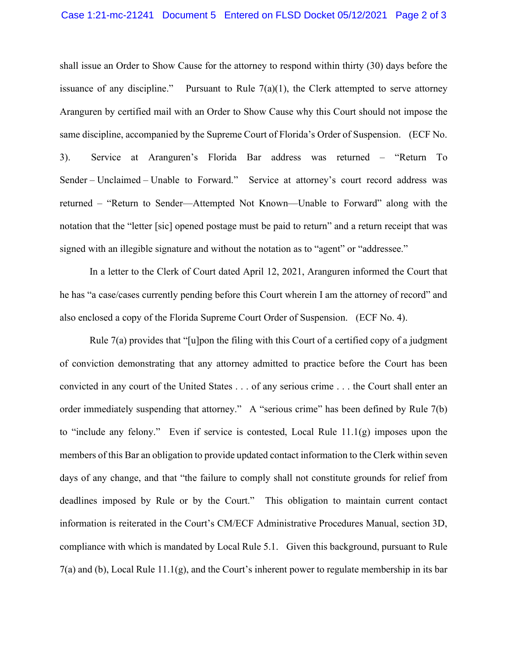#### Case 1:21-mc-21241 Document 5 Entered on FLSD Docket 05/12/2021 Page 2 of 3

shall issue an Order to Show Cause for the attorney to respond within thirty (30) days before the issuance of any discipline." Pursuant to Rule  $7(a)(1)$ , the Clerk attempted to serve attorney Aranguren by certified mail with an Order to Show Cause why this Court should not impose the same discipline, accompanied by the Supreme Court of Florida's Order of Suspension. (ECF No. 3). Service at Aranguren's Florida Bar address was returned – "Return To Sender – Unclaimed – Unable to Forward." Service at attorney's court record address was returned – "Return to Sender—Attempted Not Known—Unable to Forward" along with the notation that the "letter [sic] opened postage must be paid to return" and a return receipt that was signed with an illegible signature and without the notation as to "agent" or "addressee."

In a letter to the Clerk of Court dated April 12, 2021, Aranguren informed the Court that he has "a case/cases currently pending before this Court wherein I am the attorney of record" and also enclosed a copy of the Florida Supreme Court Order of Suspension. (ECF No. 4).

Rule 7(a) provides that "[u]pon the filing with this Court of a certified copy of a judgment of conviction demonstrating that any attorney admitted to practice before the Court has been convicted in any court of the United States . . . of any serious crime . . . the Court shall enter an order immediately suspending that attorney." A "serious crime" has been defined by Rule 7(b) to "include any felony." Even if service is contested, Local Rule 11.1(g) imposes upon the members of this Bar an obligation to provide updated contact information to the Clerk within seven days of any change, and that "the failure to comply shall not constitute grounds for relief from deadlines imposed by Rule or by the Court." This obligation to maintain current contact information is reiterated in the Court's CM/ECF Administrative Procedures Manual, section 3D, compliance with which is mandated by Local Rule 5.1. Given this background, pursuant to Rule  $7(a)$  and (b), Local Rule 11.1(g), and the Court's inherent power to regulate membership in its bar